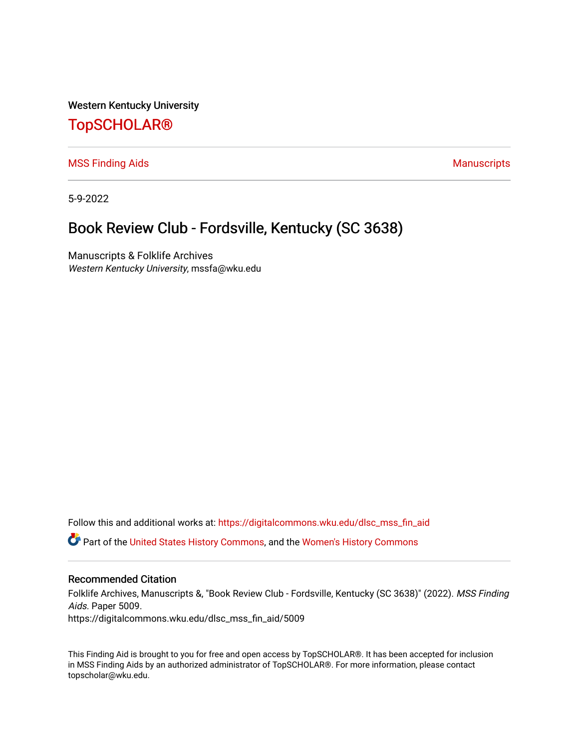Western Kentucky University

# [TopSCHOLAR®](https://digitalcommons.wku.edu/)

[MSS Finding Aids](https://digitalcommons.wku.edu/dlsc_mss_fin_aid) **Manuscripts** [Manuscripts](https://digitalcommons.wku.edu/dlsc_mss) **Manuscripts** 

5-9-2022

# Book Review Club - Fordsville, Kentucky (SC 3638)

Manuscripts & Folklife Archives Western Kentucky University, mssfa@wku.edu

Follow this and additional works at: [https://digitalcommons.wku.edu/dlsc\\_mss\\_fin\\_aid](https://digitalcommons.wku.edu/dlsc_mss_fin_aid?utm_source=digitalcommons.wku.edu%2Fdlsc_mss_fin_aid%2F5009&utm_medium=PDF&utm_campaign=PDFCoverPages)  Part of the [United States History Commons,](http://network.bepress.com/hgg/discipline/495?utm_source=digitalcommons.wku.edu%2Fdlsc_mss_fin_aid%2F5009&utm_medium=PDF&utm_campaign=PDFCoverPages) and the [Women's History Commons](http://network.bepress.com/hgg/discipline/507?utm_source=digitalcommons.wku.edu%2Fdlsc_mss_fin_aid%2F5009&utm_medium=PDF&utm_campaign=PDFCoverPages)

#### Recommended Citation

Folklife Archives, Manuscripts &, "Book Review Club - Fordsville, Kentucky (SC 3638)" (2022). MSS Finding Aids. Paper 5009. https://digitalcommons.wku.edu/dlsc\_mss\_fin\_aid/5009

This Finding Aid is brought to you for free and open access by TopSCHOLAR®. It has been accepted for inclusion in MSS Finding Aids by an authorized administrator of TopSCHOLAR®. For more information, please contact topscholar@wku.edu.